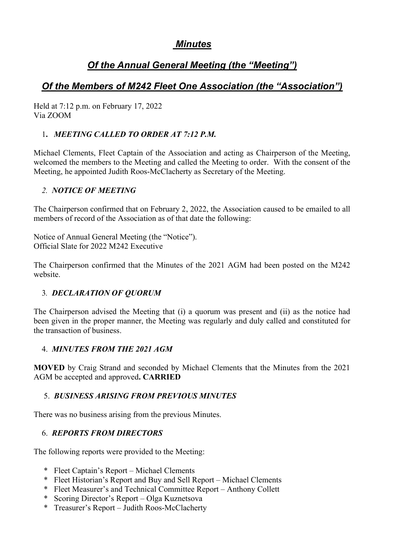# Minutes

# Of the Annual General Meeting (the "Meeting")

# Of the Members of M242 Fleet One Association (the "Association")

Held at 7:12 p.m. on February 17, 2022 Via ZOOM

# 1. MEETING CALLED TO ORDER AT 7:12 P.M.

Michael Clements, Fleet Captain of the Association and acting as Chairperson of the Meeting, welcomed the members to the Meeting and called the Meeting to order. With the consent of the Meeting, he appointed Judith Roos-McClacherty as Secretary of the Meeting.

# 2. NOTICE OF MEETING

The Chairperson confirmed that on February 2, 2022, the Association caused to be emailed to all members of record of the Association as of that date the following:

Notice of Annual General Meeting (the "Notice"). Official Slate for 2022 M242 Executive

The Chairperson confirmed that the Minutes of the 2021 AGM had been posted on the M242 website.

# 3. DECLARATION OF QUORUM

The Chairperson advised the Meeting that (i) a quorum was present and (ii) as the notice had been given in the proper manner, the Meeting was regularly and duly called and constituted for the transaction of business.

# 4. MINUTES FROM THE 2021 AGM

MOVED by Craig Strand and seconded by Michael Clements that the Minutes from the 2021 AGM be accepted and approved. CARRIED

# 5. BUSINESS ARISING FROM PREVIOUS MINUTES

There was no business arising from the previous Minutes.

# 6. REPORTS FROM DIRECTORS

The following reports were provided to the Meeting:

- \* Fleet Captain's Report Michael Clements
- \* Fleet Historian's Report and Buy and Sell Report Michael Clements
- \* Fleet Measurer's and Technical Committee Report Anthony Collett
- \* Scoring Director's Report Olga Kuznetsova
- \* Treasurer's Report Judith Roos-McClacherty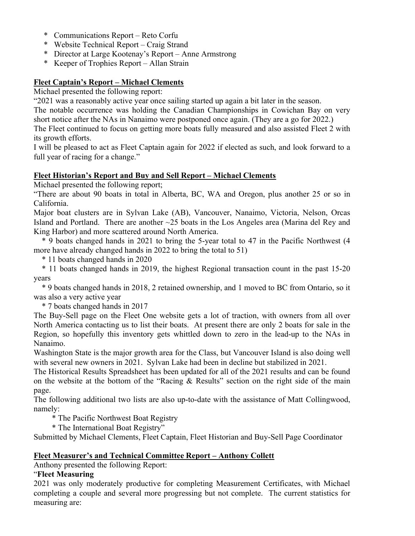- \* Communications Report Reto Corfu
- \* Website Technical Report Craig Strand
- \* Director at Large Kootenay's Report Anne Armstrong
- \* Keeper of Trophies Report Allan Strain

## Fleet Captain's Report – Michael Clements

Michael presented the following report:

"2021 was a reasonably active year once sailing started up again a bit later in the season.

The notable occurrence was holding the Canadian Championships in Cowichan Bay on very short notice after the NAs in Nanaimo were postponed once again. (They are a go for 2022.)

The Fleet continued to focus on getting more boats fully measured and also assisted Fleet 2 with its growth efforts.

I will be pleased to act as Fleet Captain again for 2022 if elected as such, and look forward to a full year of racing for a change."

## Fleet Historian's Report and Buy and Sell Report – Michael Clements

Michael presented the following report;

"There are about 90 boats in total in Alberta, BC, WA and Oregon, plus another 25 or so in California.

Major boat clusters are in Sylvan Lake (AB), Vancouver, Nanaimo, Victoria, Nelson, Orcas Island and Portland. There are another ~25 boats in the Los Angeles area (Marina del Rey and King Harbor) and more scattered around North America.

 \* 9 boats changed hands in 2021 to bring the 5-year total to 47 in the Pacific Northwest (4 more have already changed hands in 2022 to bring the total to 51)

\* 11 boats changed hands in 2020

 \* 11 boats changed hands in 2019, the highest Regional transaction count in the past 15-20 years

 \* 9 boats changed hands in 2018, 2 retained ownership, and 1 moved to BC from Ontario, so it was also a very active year

\* 7 boats changed hands in 2017

The Buy-Sell page on the Fleet One website gets a lot of traction, with owners from all over North America contacting us to list their boats. At present there are only 2 boats for sale in the Region, so hopefully this inventory gets whittled down to zero in the lead-up to the NAs in Nanaimo.

Washington State is the major growth area for the Class, but Vancouver Island is also doing well with several new owners in 2021. Sylvan Lake had been in decline but stabilized in 2021.

The Historical Results Spreadsheet has been updated for all of the 2021 results and can be found on the website at the bottom of the "Racing & Results" section on the right side of the main page.

The following additional two lists are also up-to-date with the assistance of Matt Collingwood, namely:

\* The Pacific Northwest Boat Registry

\* The International Boat Registry"

Submitted by Michael Clements, Fleet Captain, Fleet Historian and Buy-Sell Page Coordinator

## Fleet Measurer's and Technical Committee Report – Anthony Collett

Anthony presented the following Report:

# "Fleet Measuring

2021 was only moderately productive for completing Measurement Certificates, with Michael completing a couple and several more progressing but not complete. The current statistics for measuring are: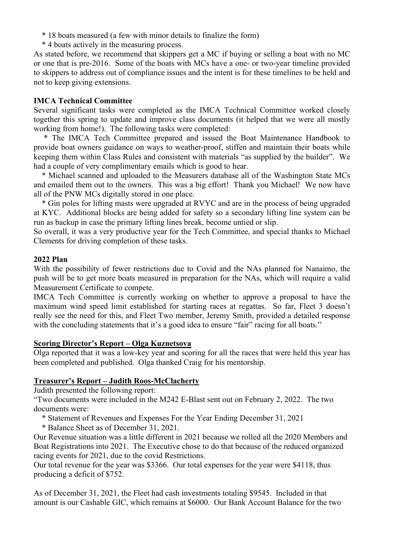- \* 18 boats measured (a few with minor details to finalize the form)
- \* 4 boats actively in the measuring process.

As stated before, we recommend that skippers get a MC if buying or selling a boat with no MC or one that is pre-2016. Some of the boats with MCs have a one- or two-year timeline provided to skippers to address out of compliance issues and the intent is for these timelines to be held and not to keep giving extensions.

#### IMCA Technical Committee

Several significant tasks were completed as the IMCA Technical Committee worked closely together this spring to update and improve class documents (it helped that we were all mostly working from home!). The following tasks were completed:

 \* The IMCA Tech Committee prepared and issued the Boat Maintenance Handbook to provide boat owners guidance on ways to weather-proof, stiffen and maintain their boats while keeping them within Class Rules and consistent with materials "as supplied by the builder". We had a couple of very complimentary emails which is good to hear.

 \* Michael scanned and uploaded to the Measurers database all of the Washington State MCs and emailed them out to the owners. This was a big effort! Thank you Michael! We now have all of the PNW MCs digitally stored in one place.

 \* Gin poles for lifting masts were upgraded at RVYC and are in the process of being upgraded at KYC. Additional blocks are being added for safety so a secondary lifting line system can be run as backup in case the primary lifting lines break, become untied or slip.

So overall, it was a very productive year for the Tech Committee, and special thanks to Michael Clements for driving completion of these tasks.

#### 2022 Plan

With the possibility of fewer restrictions due to Covid and the NAs planned for Nanaimo, the push will be to get more boats measured in preparation for the NAs, which will require a valid Measurement Certificate to compete.

IMCA Tech Committee is currently working on whether to approve a proposal to have the maximum wind speed limit established for starting races at regattas. So far, Fleet 3 doesn't really see the need for this, and Fleet Two member, Jeremy Smith, provided a detailed response with the concluding statements that it's a good idea to ensure "fair" racing for all boats."

## Scoring Director's Report – Olga Kuznetsova

Olga reported that it was a low-key year and scoring for all the races that were held this year has been completed and published. Olga thanked Craig for his mentorship.

## Treasurer's Report – Judith Roos-McClacherty

Judith presented the following report:

"Two documents were included in the M242 E-Blast sent out on February 2, 2022. The two documents were:

- \* Statement of Revenues and Expenses For the Year Ending December 31, 2021
- \* Balance Sheet as of December 31, 2021.

Our Revenue situation was a little different in 2021 because we rolled all the 2020 Members and Boat Registrations into 2021. The Executive chose to do that because of the reduced organized racing events for 2021, due to the covid Restrictions.

Our total revenue for the year was \$3366. Our total expenses for the year were \$4118, thus producing a deficit of \$752.

As of December 31, 2021, the Fleet had cash investments totaling \$9545. Included in that amount is our Cashable GIC, which remains at \$6000. Our Bank Account Balance for the two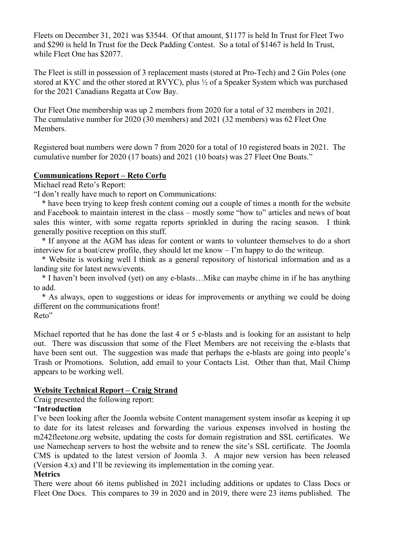Fleets on December 31, 2021 was \$3544. Of that amount, \$1177 is held In Trust for Fleet Two and \$290 is held In Trust for the Deck Padding Contest. So a total of \$1467 is held In Trust, while Fleet One has \$2077.

The Fleet is still in possession of 3 replacement masts (stored at Pro-Tech) and 2 Gin Poles (one stored at KYC and the other stored at RVYC), plus ½ of a Speaker System which was purchased for the 2021 Canadians Regatta at Cow Bay.

Our Fleet One membership was up 2 members from 2020 for a total of 32 members in 2021. The cumulative number for 2020 (30 members) and 2021 (32 members) was 62 Fleet One Members.

Registered boat numbers were down 7 from 2020 for a total of 10 registered boats in 2021. The cumulative number for 2020 (17 boats) and 2021 (10 boats) was 27 Fleet One Boats."

#### Communications Report – Reto Corfu

Michael read Reto's Report:

"I don't really have much to report on Communications:

 \* have been trying to keep fresh content coming out a couple of times a month for the website and Facebook to maintain interest in the class – mostly some "how to" articles and news of boat sales this winter, with some regatta reports sprinkled in during the racing season. I think generally positive reception on this stuff.

 \* If anyone at the AGM has ideas for content or wants to volunteer themselves to do a short interview for a boat/crew profile, they should let me know – I'm happy to do the writeup.

 \* Website is working well I think as a general repository of historical information and as a landing site for latest news/events.

 \* I haven't been involved (yet) on any e-blasts…Mike can maybe chime in if he has anything to add.

 \* As always, open to suggestions or ideas for improvements or anything we could be doing different on the communications front! Reto"

Michael reported that he has done the last 4 or 5 e-blasts and is looking for an assistant to help out. There was discussion that some of the Fleet Members are not receiving the e-blasts that have been sent out. The suggestion was made that perhaps the e-blasts are going into people's Trash or Promotions. Solution, add email to your Contacts List. Other than that, Mail Chimp appears to be working well.

## Website Technical Report – Craig Strand

Craig presented the following report:

## "Introduction

I've been looking after the Joomla website Content management system insofar as keeping it up to date for its latest releases and forwarding the various expenses involved in hosting the m242fleetone.org website, updating the costs for domain registration and SSL certificates. We use Namecheap servers to host the website and to renew the site's SSL certificate. The Joomla CMS is updated to the latest version of Joomla 3. A major new version has been released (Version 4.x) and I'll be reviewing its implementation in the coming year.

## **Metrics**

There were about 66 items published in 2021 including additions or updates to Class Docs or Fleet One Docs. This compares to 39 in 2020 and in 2019, there were 23 items published. The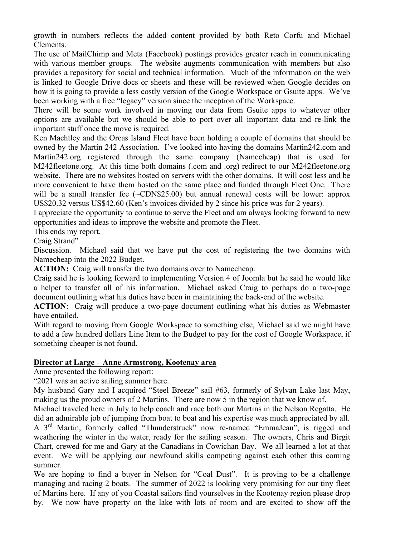growth in numbers reflects the added content provided by both Reto Corfu and Michael Clements.

The use of MailChimp and Meta (Facebook) postings provides greater reach in communicating with various member groups. The website augments communication with members but also provides a repository for social and technical information. Much of the information on the web is linked to Google Drive docs or sheets and these will be reviewed when Google decides on how it is going to provide a less costly version of the Google Workspace or Gsuite apps. We've been working with a free "legacy" version since the inception of the Workspace.

There will be some work involved in moving our data from Gsuite apps to whatever other options are available but we should be able to port over all important data and re-link the important stuff once the move is required.

Ken Machtley and the Orcas Island Fleet have been holding a couple of domains that should be owned by the Martin 242 Association. I've looked into having the domains Martin242.com and Martin242.org registered through the same company (Namecheap) that is used for M242fleetone.org. At this time both domains (.com and .org) redirect to our M242fleetone.org website. There are no websites hosted on servers with the other domains. It will cost less and be more convenient to have them hosted on the same place and funded through Fleet One. There will be a small transfer fee (~CDN\$25.00) but annual renewal costs will be lower: approx US\$20.32 versus US\$42.60 (Ken's invoices divided by 2 since his price was for 2 years).

I appreciate the opportunity to continue to serve the Fleet and am always looking forward to new opportunities and ideas to improve the website and promote the Fleet.

This ends my report.

Craig Strand"

Discussion. Michael said that we have put the cost of registering the two domains with Namecheap into the 2022 Budget.

ACTION: Craig will transfer the two domains over to Namecheap.

Craig said he is looking forward to implementing Version 4 of Joomla but he said he would like a helper to transfer all of his information. Michael asked Craig to perhaps do a two-page document outlining what his duties have been in maintaining the back-end of the website.

ACTION: Craig will produce a two-page document outlining what his duties as Webmaster have entailed.

With regard to moving from Google Workspace to something else, Michael said we might have to add a few hundred dollars Line Item to the Budget to pay for the cost of Google Workspace, if something cheaper is not found.

#### Director at Large – Anne Armstrong, Kootenay area

Anne presented the following report:

"2021 was an active sailing summer here.

My husband Gary and I acquired "Steel Breeze" sail #63, formerly of Sylvan Lake last May, making us the proud owners of 2 Martins. There are now 5 in the region that we know of.

Michael traveled here in July to help coach and race both our Martins in the Nelson Regatta. He did an admirable job of jumping from boat to boat and his expertise was much appreciated by all. A 3rd Martin, formerly called "Thunderstruck" now re-named "EmmaJean", is rigged and weathering the winter in the water, ready for the sailing season. The owners, Chris and Birgit Chart, crewed for me and Gary at the Canadians in Cowichan Bay. We all learned a lot at that event. We will be applying our newfound skills competing against each other this coming summer.

We are hoping to find a buyer in Nelson for "Coal Dust". It is proving to be a challenge managing and racing 2 boats. The summer of 2022 is looking very promising for our tiny fleet of Martins here. If any of you Coastal sailors find yourselves in the Kootenay region please drop by. We now have property on the lake with lots of room and are excited to show off the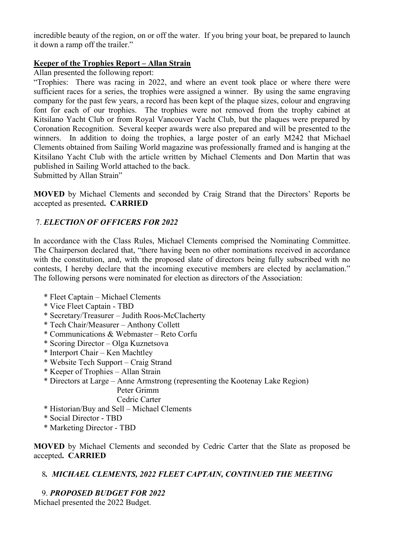incredible beauty of the region, on or off the water. If you bring your boat, be prepared to launch it down a ramp off the trailer."

## Keeper of the Trophies Report – Allan Strain

Allan presented the following report:

"Trophies: There was racing in 2022, and where an event took place or where there were sufficient races for a series, the trophies were assigned a winner. By using the same engraving company for the past few years, a record has been kept of the plaque sizes, colour and engraving font for each of our trophies. The trophies were not removed from the trophy cabinet at Kitsilano Yacht Club or from Royal Vancouver Yacht Club, but the plaques were prepared by Coronation Recognition. Several keeper awards were also prepared and will be presented to the winners. In addition to doing the trophies, a large poster of an early M242 that Michael Clements obtained from Sailing World magazine was professionally framed and is hanging at the Kitsilano Yacht Club with the article written by Michael Clements and Don Martin that was published in Sailing World attached to the back.

Submitted by Allan Strain"

MOVED by Michael Clements and seconded by Craig Strand that the Directors' Reports be accepted as presented. CARRIED

# 7. ELECTION OF OFFICERS FOR 2022

In accordance with the Class Rules, Michael Clements comprised the Nominating Committee. The Chairperson declared that, "there having been no other nominations received in accordance with the constitution, and, with the proposed slate of directors being fully subscribed with no contests, I hereby declare that the incoming executive members are elected by acclamation." The following persons were nominated for election as directors of the Association:

- \* Fleet Captain Michael Clements
- \* Vice Fleet Captain TBD
- \* Secretary/Treasurer Judith Roos-McClacherty
- \* Tech Chair/Measurer Anthony Collett
- \* Communications & Webmaster Reto Corfu
- \* Scoring Director Olga Kuznetsova
- \* Interport Chair Ken Machtley
- \* Website Tech Support Craig Strand
- \* Keeper of Trophies Allan Strain
- \* Directors at Large Anne Armstrong (representing the Kootenay Lake Region) Peter Grimm

Cedric Carter

- \* Historian/Buy and Sell Michael Clements
- \* Social Director TBD
- \* Marketing Director TBD

MOVED by Michael Clements and seconded by Cedric Carter that the Slate as proposed be accepted. CARRIED

## 8. MICHAEL CLEMENTS, 2022 FLEET CAPTAIN, CONTINUED THE MEETING

# 9. PROPOSED BUDGET FOR 2022

Michael presented the 2022 Budget.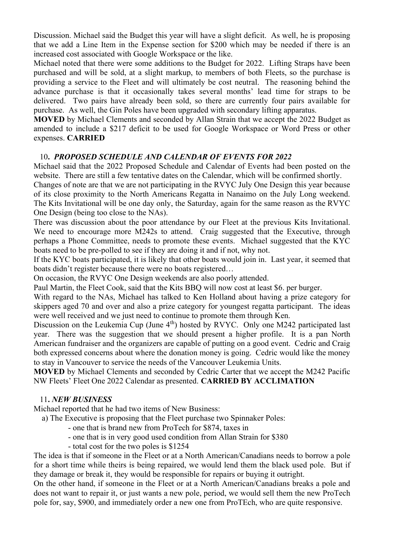Discussion. Michael said the Budget this year will have a slight deficit. As well, he is proposing that we add a Line Item in the Expense section for \$200 which may be needed if there is an increased cost associated with Google Workspace or the like.

Michael noted that there were some additions to the Budget for 2022. Lifting Straps have been purchased and will be sold, at a slight markup, to members of both Fleets, so the purchase is providing a service to the Fleet and will ultimately be cost neutral. The reasoning behind the advance purchase is that it occasionally takes several months' lead time for straps to be delivered. Two pairs have already been sold, so there are currently four pairs available for purchase. As well, the Gin Poles have been upgraded with secondary lifting apparatus.

MOVED by Michael Clements and seconded by Allan Strain that we accept the 2022 Budget as amended to include a \$217 deficit to be used for Google Workspace or Word Press or other expenses. CARRIED

#### 10. PROPOSED SCHEDULE AND CALENDAR OF EVENTS FOR 2022

Michael said that the 2022 Proposed Schedule and Calendar of Events had been posted on the website. There are still a few tentative dates on the Calendar, which will be confirmed shortly.

Changes of note are that we are not participating in the RVYC July One Design this year because of its close proximity to the North Americans Regatta in Nanaimo on the July Long weekend. The Kits Invitational will be one day only, the Saturday, again for the same reason as the RVYC One Design (being too close to the NAs).

There was discussion about the poor attendance by our Fleet at the previous Kits Invitational. We need to encourage more M242s to attend. Craig suggested that the Executive, through perhaps a Phone Committee, needs to promote these events. Michael suggested that the KYC boats need to be pre-polled to see if they are doing it and if not, why not.

If the KYC boats participated, it is likely that other boats would join in. Last year, it seemed that boats didn't register because there were no boats registered…

On occasion, the RVYC One Design weekends are also poorly attended.

Paul Martin, the Fleet Cook, said that the Kits BBQ will now cost at least \$6. per burger.

With regard to the NAs, Michael has talked to Ken Holland about having a prize category for skippers aged 70 and over and also a prize category for youngest regatta participant. The ideas were well received and we just need to continue to promote them through Ken.

Discussion on the Leukemia Cup (June  $4<sup>th</sup>$ ) hosted by RVYC. Only one M242 participated last year. There was the suggestion that we should present a higher profile. It is a pan North American fundraiser and the organizers are capable of putting on a good event. Cedric and Craig both expressed concerns about where the donation money is going. Cedric would like the money to stay in Vancouver to service the needs of the Vancouver Leukemia Units.

MOVED by Michael Clements and seconded by Cedric Carter that we accept the M242 Pacific NW Fleets' Fleet One 2022 Calendar as presented. CARRIED BY ACCLIMATION

#### 11. NEW BUSINESS

Michael reported that he had two items of New Business:

a) The Executive is proposing that the Fleet purchase two Spinnaker Poles:

- one that is brand new from ProTech for \$874, taxes in
- one that is in very good used condition from Allan Strain for \$380
- total cost for the two poles is \$1254

The idea is that if someone in the Fleet or at a North American/Canadians needs to borrow a pole for a short time while theirs is being repaired, we would lend them the black used pole. But if they damage or break it, they would be responsible for repairs or buying it outright.

On the other hand, if someone in the Fleet or at a North American/Canadians breaks a pole and does not want to repair it, or just wants a new pole, period, we would sell them the new ProTech pole for, say, \$900, and immediately order a new one from ProTEch, who are quite responsive.